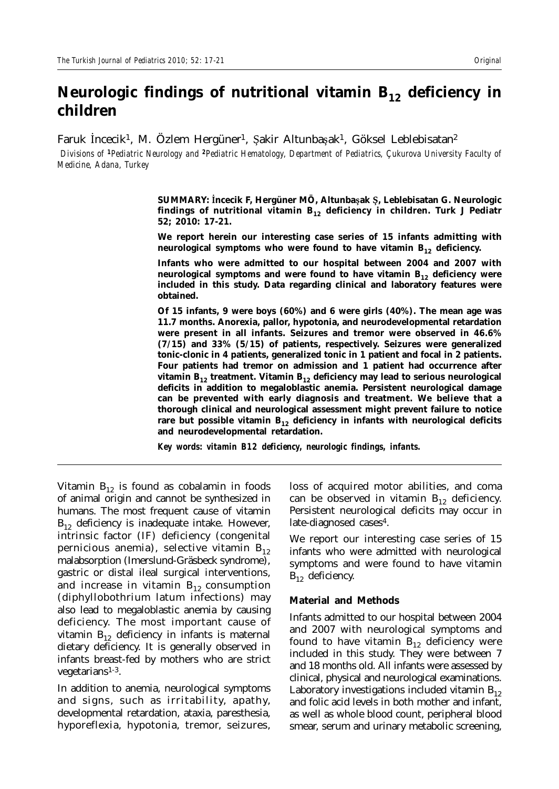# Neurologic findings of nutritional vitamin B<sub>12</sub> deficiency in **children**

Faruk Incecik<sup>1</sup>, M. Özlem Hergüner<sup>1</sup>, Şakir Altunbaşak<sup>1</sup>, Göksel Leblebisatan<sup>2</sup>

 *Divisions of <sup>1</sup>Pediatric Neurology and <sup>2</sup>Pediatric Hematology, Department of Pediatrics, Çukurova University Faculty of Medicine, Adana, Turkey*

> **SUMMARY: úncecik F, Hergüner MÖ, Altunbaüak û, Leblebisatan G. Neurologic**  findings of nutritional vitamin B<sub>12</sub> deficiency in children. Turk J Pediatr **52; 2010: 17-21.**

> **We report herein our interesting case series of 15 infants admitting with**  neurological symptoms who were found to have vitamin B<sub>12</sub> deficiency.

> **Infants who were admitted to our hospital between 2004 and 2007 with**  neurological symptoms and were found to have vitamin B<sub>12</sub> deficiency were **included in this study. Data regarding clinical and laboratory features were obtained.**

> **Of 15 infants, 9 were boys (60%) and 6 were girls (40%). The mean age was 11.7 months. Anorexia, pallor, hypotonia, and neurodevelopmental retardation were present in all infants. Seizures and tremor were observed in 46.6% (7/15) and 33% (5/15) of patients, respectively. Seizures were generalized tonic-clonic in 4 patients, generalized tonic in 1 patient and focal in 2 patients. Four patients had tremor on admission and 1 patient had occurrence after**  vitamin B<sub>12</sub> treatment. Vitamin B<sub>12</sub> deficiency may lead to serious neurological **deficits in addition to megaloblastic anemia. Persistent neurological damage can be prevented with early diagnosis and treatment. We believe that a thorough clinical and neurological assessment might prevent failure to notice**  rare but possible vitamin  $B_{12}$  deficiency in infants with neurological deficits **and neurodevelopmental retardation.**

*Key words: vitamin B12 deficiency, neurologic findings, infants.*

Vitamin  $B_{12}$  is found as cobalamin in foods of animal origin and cannot be synthesized in humans. The most frequent cause of vitamin  $B_{12}$  deficiency is inadequate intake. However, intrinsic factor (IF) deficiency (congenital pernicious anemia), selective vitamin  $B_{12}$ malabsorption (Imerslund-Gräsbeck syndrome), gastric or distal ileal surgical interventions, and increase in vitamin  $B_{12}$  consumption (diphyllobothrium latum infections) may also lead to megaloblastic anemia by causing deficiency. The most important cause of vitamin  $B_{12}$  deficiency in infants is maternal dietary deficiency. It is generally observed in infants breast-fed by mothers who are strict vegetarians1-3.

In addition to anemia, neurological symptoms and signs, such as irritability, apathy, developmental retardation, ataxia, paresthesia, hyporeflexia, hypotonia, tremor, seizures,

loss of acquired motor abilities, and coma can be observed in vitamin  $B_{12}$  deficiency. Persistent neurological deficits may occur in late-diagnosed cases<sup>4</sup>.

We report our interesting case series of 15 infants who were admitted with neurological symptoms and were found to have vitamin  $B_{12}$  deficiency.

### **Material and Methods**

Infants admitted to our hospital between 2004 and 2007 with neurological symptoms and found to have vitamin  $B_{12}$  deficiency were included in this study. They were between 7 and 18 months old. All infants were assessed by clinical, physical and neurological examinations. Laboratory investigations included vitamin  $B_{12}$ and folic acid levels in both mother and infant, as well as whole blood count, peripheral blood smear, serum and urinary metabolic screening,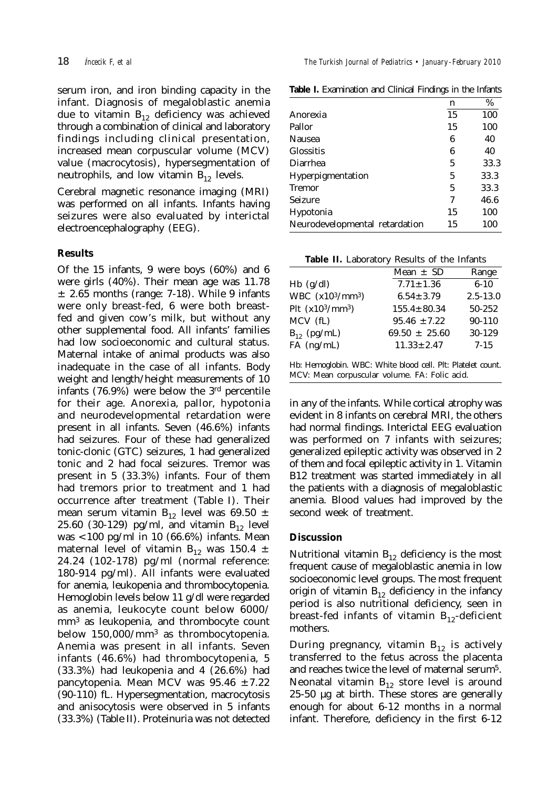serum iron, and iron binding capacity in the infant. Diagnosis of megaloblastic anemia due to vitamin  $B_{12}$  deficiency was achieved through a combination of clinical and laboratory findings including clinical presentation, increased mean corpuscular volume (MCV) value (macrocytosis), hypersegmentation of neutrophils, and low vitamin  $B_{12}$  levels.

Cerebral magnetic resonance imaging (MRI) was performed on all infants. Infants having seizures were also evaluated by interictal electroencephalography (EEG).

# **Results**

Of the 15 infants, 9 were boys (60%) and 6 were girls (40%). Their mean age was 11.78  $\pm$  2.65 months (range: 7-18). While 9 infants were only breast-fed, 6 were both breastfed and given cow's milk, but without any other supplemental food. All infants' families had low socioeconomic and cultural status. Maternal intake of animal products was also inadequate in the case of all infants. Body weight and length/height measurements of 10 infants (76.9%) were below the  $3<sup>rd</sup>$  percentile for their age. Anorexia, pallor, hypotonia and neurodevelopmental retardation were present in all infants. Seven (46.6%) infants had seizures. Four of these had generalized tonic-clonic (GTC) seizures, 1 had generalized tonic and 2 had focal seizures. Tremor was present in 5 (33.3%) infants. Four of them had tremors prior to treatment and 1 had occurrence after treatment (Table I). Their mean serum vitamin  $B_{12}$  level was 69.50  $\pm$ 25.60 (30-129) pg/ml, and vitamin  $B_{12}$  level was <100 pg/ml in 10 (66.6%) infants. Mean maternal level of vitamin B<sub>12</sub> was 150.4  $\pm$ 24.24 (102-178) pg/ml (normal reference: 180-914 pg/ml). All infants were evaluated for anemia, leukopenia and thrombocytopenia. Hemoglobin levels below 11 g/dl were regarded as anemia, leukocyte count below 6000/ mm3 as leukopenia, and thrombocyte count below  $150,000/\text{mm}^3$  as thrombocytopenia. Anemia was present in all infants. Seven infants (46.6%) had thrombocytopenia, 5 (33.3%) had leukopenia and 4 (26.6%) had pancytopenia. Mean MCV was  $95.46 \pm 7.22$ (90-110) fL. Hypersegmentation, macrocytosis and anisocytosis were observed in 5 infants (33.3%) (Table II). Proteinuria was not detected

**Table I.** Examination and Clinical Findings in the Infants

|                                | n  | $\%$ |
|--------------------------------|----|------|
| Anorexia                       | 15 | 100  |
| Pallor                         | 15 | 100  |
| Nausea                         | 6  | 40   |
| Glossitis                      | 6  | 40   |
| Diarrhea                       | 5  | 33.3 |
| Hyperpigmentation              | 5  | 33.3 |
| Tremor                         | 5  | 33.3 |
| Seizure                        | 7  | 46.6 |
| Hypotonia                      | 15 | 100  |
| Neurodevelopmental retardation | 15 | 100  |

| Table II. Laboratory Results of the Infants |  |  |  |  |
|---------------------------------------------|--|--|--|--|
|---------------------------------------------|--|--|--|--|

|                                          | Mean $\pm$ SD     | Range        |
|------------------------------------------|-------------------|--------------|
| $Hb$ (g/dl)                              | $7.71 \pm 1.36$   | $6 - 10$     |
| WBC (x10 <sup>3</sup> /mm <sup>3</sup> ) | $6.54 \pm 3.79$   | $2.5 - 13.0$ |
| Plt $(x10^3/mm^3)$                       | $155.4 \pm 80.34$ | 50-252       |
| MCV (fL)                                 | $95.46 \pm 7.22$  | $90 - 110$   |
| $B_{12}$ (pg/mL)                         | $69.50 \pm 25.60$ | 30-129       |
| $FA$ (ng/mL)                             | $11.33 \pm 2.47$  | $7 - 15$     |
|                                          |                   |              |

Hb: Hemoglobin. WBC: White blood cell. Plt: Platelet count. MCV: Mean corpuscular volume. FA: Folic acid.

in any of the infants. While cortical atrophy was evident in 8 infants on cerebral MRI, the others had normal findings. Interictal EEG evaluation was performed on 7 infants with seizures; generalized epileptic activity was observed in 2 of them and focal epileptic activity in 1. Vitamin B12 treatment was started immediately in all the patients with a diagnosis of megaloblastic anemia. Blood values had improved by the second week of treatment.

## **Discussion**

Nutritional vitamin  $B_{12}$  deficiency is the most frequent cause of megaloblastic anemia in low socioeconomic level groups. The most frequent origin of vitamin  $B_{12}$  deficiency in the infancy period is also nutritional deficiency, seen in breast-fed infants of vitamin  $B_{12}$ -deficient mothers.

During pregnancy, vitamin  $B_{12}$  is actively transferred to the fetus across the placenta and reaches twice the level of maternal serum5. Neonatal vitamin  $B_{12}$  store level is around 25-50 µg at birth. These stores are generally enough for about 6-12 months in a normal infant. Therefore, deficiency in the first 6-12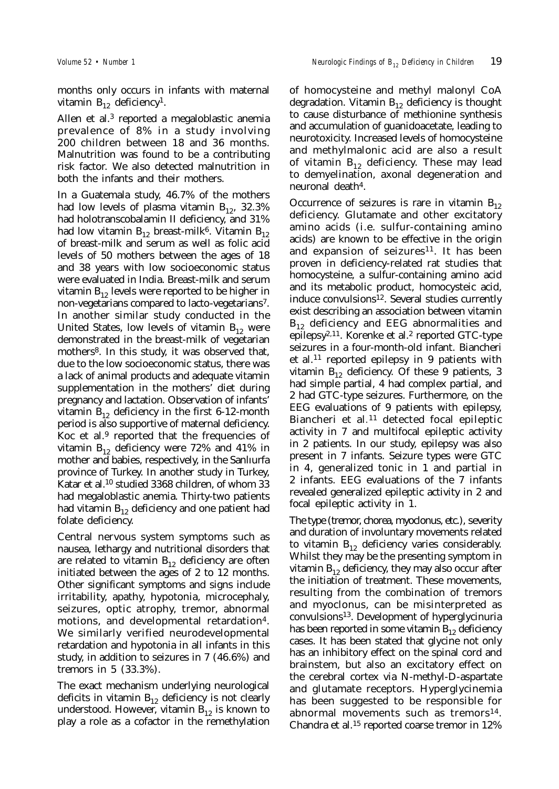months only occurs in infants with maternal vitamin  $B_{12}$  deficiency<sup>1</sup>.

Allen et al. $3$  reported a megaloblastic anemia prevalence of 8% in a study involving 200 children between 18 and 36 months. Malnutrition was found to be a contributing risk factor. We also detected malnutrition in both the infants and their mothers.

In a Guatemala study, 46.7% of the mothers had low levels of plasma vitamin  $B_{12}$ , 32.3% had holotranscobalamin II deficiency, and 31% had low vitamin  $B_{12}$  breast-milk<sup>6</sup>. Vitamin  $B_{12}$ of breast-milk and serum as well as folic acid levels of 50 mothers between the ages of 18 and 38 years with low socioeconomic status were evaluated in India. Breast-milk and serum vitamin  $B_{12}$  levels were reported to be higher in non-vegetarians compared to lacto-vegetarians7. In another similar study conducted in the United States, low levels of vitamin  $B_{12}$  were demonstrated in the breast-milk of vegetarian mothers<sup>8</sup>. In this study, it was observed that, due to the low socioeconomic status, there was a lack of animal products and adequate vitamin supplementation in the mothers' diet during pregnancy and lactation. Observation of infants' vitamin  $B_{12}$  deficiency in the first 6-12-month period is also supportive of maternal deficiency. Koc et al.9 reported that the frequencies of vitamin  $B_{12}$  deficiency were 72% and 41% in mother and babies, respectively, in the Sanlıurfa province of Turkey. In another study in Turkey, Katar et al.10 studied 3368 children, of whom 33 had megaloblastic anemia. Thirty-two patients had vitamin  $B_{12}$  deficiency and one patient had folate deficiency.

Central nervous system symptoms such as nausea, lethargy and nutritional disorders that are related to vitamin  $B_{12}$  deficiency are often initiated between the ages of 2 to 12 months. Other significant symptoms and signs include irritability, apathy, hypotonia, microcephaly, seizures, optic atrophy, tremor, abnormal motions, and developmental retardation4. We similarly verified neurodevelopmental retardation and hypotonia in all infants in this study, in addition to seizures in 7 (46.6%) and tremors in 5 (33.3%).

The exact mechanism underlying neurological deficits in vitamin  $B_{12}$  deficiency is not clearly understood. However, vitamin  $B_{12}$  is known to play a role as a cofactor in the remethylation of homocysteine and methyl malonyl CoA degradation. Vitamin  $B_{12}$  deficiency is thought to cause disturbance of methionine synthesis and accumulation of guanidoacetate, leading to neurotoxicity. Increased levels of homocysteine and methylmalonic acid are also a result of vitamin  $B_{12}$  deficiency. These may lead to demyelination, axonal degeneration and neuronal death<sup>4</sup>.

Occurrence of seizures is rare in vitamin  $B_{12}$ deficiency. Glutamate and other excitatory amino acids (i.e. sulfur-containing amino acids) are known to be effective in the origin and expansion of seizures<sup>11</sup>. It has been proven in deficiency-related rat studies that homocysteine, a sulfur-containing amino acid and its metabolic product, homocysteic acid, induce convulsions<sup>12</sup>. Several studies currently exist describing an association between vitamin  $B_{12}$  deficiency and EEG abnormalities and epilepsy2,11. Korenke et al.2 reported GTC-type seizures in a four-month-old infant. Biancheri et al.11 reported epilepsy in 9 patients with vitamin  $B_{12}$  deficiency. Of these 9 patients, 3 had simple partial, 4 had complex partial, and 2 had GTC-type seizures. Furthermore, on the EEG evaluations of 9 patients with epilepsy, Biancheri et al*.*11 detected focal epileptic activity in 7 and multifocal epileptic activity in 2 patients. In our study, epilepsy was also present in 7 infants. Seizure types were GTC in 4, generalized tonic in 1 and partial in 2 infants. EEG evaluations of the 7 infants revealed generalized epileptic activity in 2 and focal epileptic activity in 1.

The type (tremor, chorea, myoclonus, etc.), severity and duration of involuntary movements related to vitamin  $B_{12}$  deficiency varies considerably. Whilst they may be the presenting symptom in vitamin  $B_{12}$  deficiency, they may also occur after the initiation of treatment. These movements, resulting from the combination of tremors and myoclonus, can be misinterpreted as convulsions13. Development of hyperglycinuria has been reported in some vitamin  $B_{12}$  deficiency cases. It has been stated that glycine not only has an inhibitory effect on the spinal cord and brainstem, but also an excitatory effect on the cerebral cortex via N-methyl-D-aspartate and glutamate receptors. Hyperglycinemia has been suggested to be responsible for abnormal movements such as tremors<sup>14</sup>. Chandra et al.15 reported coarse tremor in 12%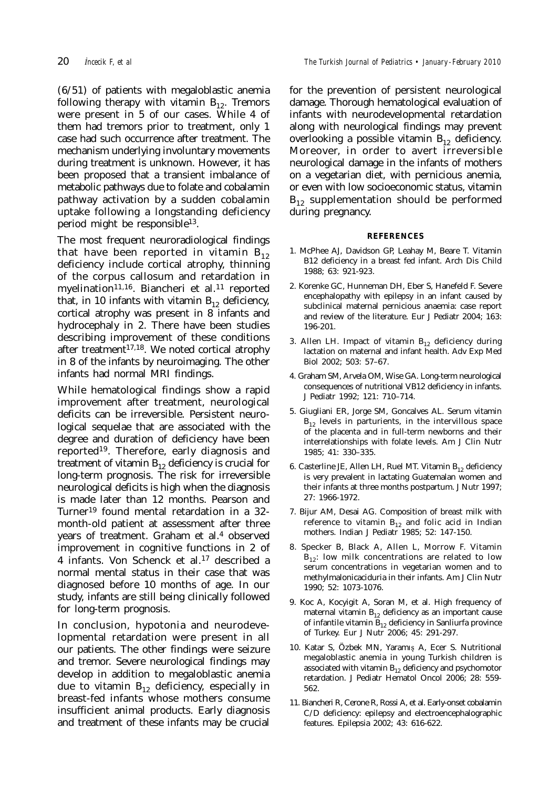them had tremors prior to treatment, only 1 case had such occurrence after treatment. The mechanism underlying involuntary movements during treatment is unknown. However, it has been proposed that a transient imbalance of metabolic pathways due to folate and cobalamin pathway activation by a sudden cobalamin uptake following a longstanding deficiency period might be responsible13.

The most frequent neuroradiological findings that have been reported in vitamin  $B_{12}$ deficiency include cortical atrophy, thinning of the corpus callosum and retardation in myelination<sup>11,16</sup>. Biancheri et al.<sup>11</sup> reported that, in 10 infants with vitamin  $B_{12}$  deficiency, cortical atrophy was present in 8 infants and hydrocephaly in 2. There have been studies describing improvement of these conditions after treatment $17,18$ . We noted cortical atrophy in 8 of the infants by neuroimaging. The other infants had normal MRI findings.

While hematological findings show a rapid improvement after treatment, neurological deficits can be irreversible. Persistent neurological sequelae that are associated with the degree and duration of deficiency have been reported<sup>19</sup>. Therefore, early diagnosis and treatment of vitamin  $B_{12}$  deficiency is crucial for long-term prognosis. The risk for irreversible neurological deficits is high when the diagnosis is made later than 12 months. Pearson and Turner19 found mental retardation in a 32 month-old patient at assessment after three years of treatment. Graham et al.4 observed improvement in cognitive functions in 2 of 4 infants. Von Schenck et al.17 described a normal mental status in their case that was diagnosed before 10 months of age. In our study, infants are still being clinically followed for long-term prognosis.

In conclusion, hypotonia and neurodevelopmental retardation were present in all our patients. The other findings were seizure and tremor. Severe neurological findings may develop in addition to megaloblastic anemia due to vitamin  $B_{12}$  deficiency, especially in breast-fed infants whose mothers consume insufficient animal products. Early diagnosis and treatment of these infants may be crucial for the prevention of persistent neurological damage. Thorough hematological evaluation of infants with neurodevelopmental retardation along with neurological findings may prevent overlooking a possible vitamin  $B_{12}$  deficiency. Moreover, in order to avert irreversible neurological damage in the infants of mothers on a vegetarian diet, with pernicious anemia, or even with low socioeconomic status, vitamin  $B_{12}$  supplementation should be performed during pregnancy.

#### **REFERENCES**

- 1. McPhee AJ, Davidson GP, Leahay M, Beare T. Vitamin B12 deficiency in a breast fed infant. Arch Dis Child 1988; 63: 921-923.
- 2. Korenke GC, Hunneman DH, Eber S, Hanefeld F. Severe encephalopathy with epilepsy in an infant caused by subclinical maternal pernicious anaemia: case report and review of the literature. Eur J Pediatr 2004; 163: 196-201.
- 3. Allen LH. Impact of vitamin  $B_{12}$  deficiency during lactation on maternal and infant health. Adv Exp Med Biol 2002; 503: 57–67.
- 4. Graham SM, Arvela OM, Wise GA. Long-term neurological consequences of nutritional VB12 deficiency in infants. J Pediatr 1992; 121: 710–714.
- 5. Giugliani ER, Jorge SM, Goncalves AL. Serum vitamin  $B_{12}$  levels in parturients, in the intervillous space of the placenta and in full-term newborns and their interrelationships with folate levels. Am J Clin Nutr 1985; 41: 330–335.
- 6. Casterline JE, Allen LH, Ruel MT. Vitamin  $B_{12}$  deficiency is very prevalent in lactating Guatemalan women and their infants at three months postpartum. J Nutr 1997; 27: 1966-1972.
- 7. Bijur AM, Desai AG. Composition of breast milk with reference to vitamin  $B_{12}$  and folic acid in Indian mothers. Indian J Pediatr 1985; 52: 147-150.
- 8. Specker B, Black A, Allen L, Morrow F. Vitamin  $B_{12}$ : low milk concentrations are related to low serum concentrations in vegetarian women and to methylmalonicaciduria in their infants. Am J Clin Nutr 1990; 52: 1073-1076.
- 9. Koc A, Kocyigit A, Soran M, et al. High frequency of maternal vitamin  $B_{12}$  deficiency as an important cause of infantile vitamin  $B_{12}$  deficiency in Sanliurfa province of Turkey. Eur J Nutr 2006; 45: 291-297.
- 10. Katar S, Özbek MN, Yaramış A, Ecer S. Nutritional megaloblastic anemia in young Turkish children is associated with vitamin  $B_{12}$  deficiency and psychomotor retardation. J Pediatr Hematol Oncol 2006; 28: 559- 562.
- 11. Biancheri R, Cerone R, Rossi A, et al. Early-onset cobalamin C/D deficiency: epilepsy and electroencephalographic features. Epilepsia 2002; 43: 616-622.